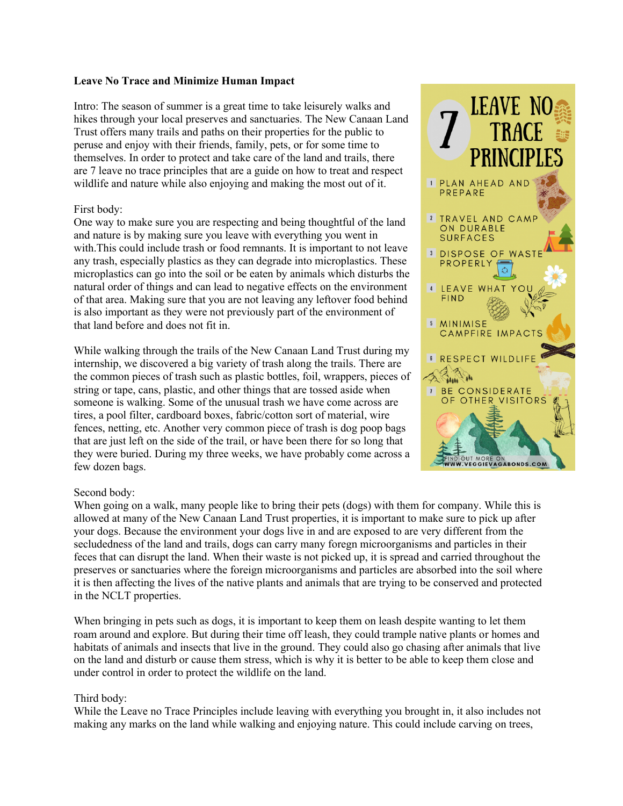## **Leave No Trace and Minimize Human Impact**

Intro: The season of summer is a great time to take leisurely walks and hikes through your local preserves and sanctuaries. The New Canaan Land Trust offers many trails and paths on their properties for the public to peruse and enjoy with their friends, family, pets, or for some time to themselves. In order to protect and take care of the land and trails, there are 7 leave no trace principles that are a guide on how to treat and respect wildlife and nature while also enjoying and making the most out of it.

## First body:

One way to make sure you are respecting and being thoughtful of the land and nature is by making sure you leave with everything you went in with.This could include trash or food remnants. It is important to not leave any trash, especially plastics as they can degrade into microplastics. These microplastics can go into the soil or be eaten by animals which disturbs the natural order of things and can lead to negative effects on the environment of that area. Making sure that you are not leaving any leftover food behind is also important as they were not previously part of the environment of that land before and does not fit in.

While walking through the trails of the New Canaan Land Trust during my internship, we discovered a big variety of trash along the trails. There are the common pieces of trash such as plastic bottles, foil, wrappers, pieces of string or tape, cans, plastic, and other things that are tossed aside when someone is walking. Some of the unusual trash we have come across are tires, a pool filter, cardboard boxes, fabric/cotton sort of material, wire fences, netting, etc. Another very common piece of trash is dog poop bags that are just left on the side of the trail, or have been there for so long that they were buried. During my three weeks, we have probably come across a few dozen bags.



# Second body:

When going on a walk, many people like to bring their pets (dogs) with them for company. While this is allowed at many of the New Canaan Land Trust properties, it is important to make sure to pick up after your dogs. Because the environment your dogs live in and are exposed to are very different from the secludedness of the land and trails, dogs can carry many foregn microorganisms and particles in their feces that can disrupt the land. When their waste is not picked up, it is spread and carried throughout the preserves or sanctuaries where the foreign microorganisms and particles are absorbed into the soil where it is then affecting the lives of the native plants and animals that are trying to be conserved and protected in the NCLT properties.

When bringing in pets such as dogs, it is important to keep them on leash despite wanting to let them roam around and explore. But during their time off leash, they could trample native plants or homes and habitats of animals and insects that live in the ground. They could also go chasing after animals that live on the land and disturb or cause them stress, which is why it is better to be able to keep them close and under control in order to protect the wildlife on the land.

### Third body:

While the Leave no Trace Principles include leaving with everything you brought in, it also includes not making any marks on the land while walking and enjoying nature. This could include carving on trees,